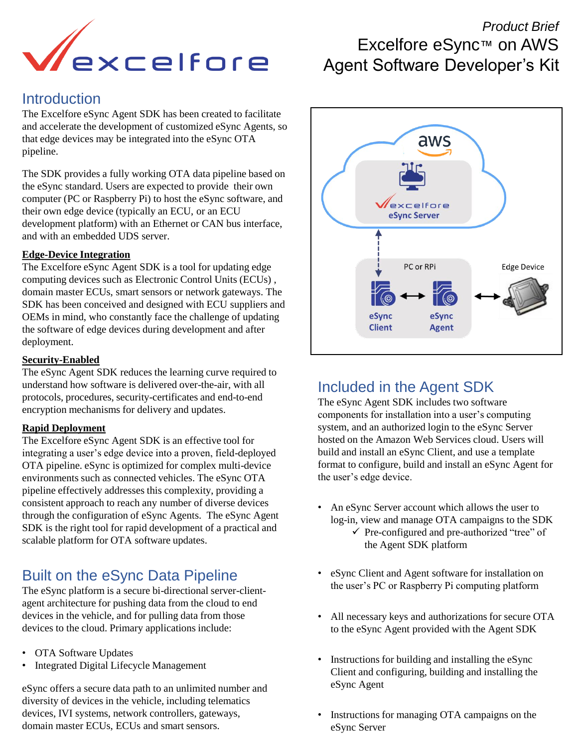

### **Introduction**

The Excelfore eSync Agent SDK has been created to facilitate and accelerate the development of customized eSync Agents, so that edge devices may be integrated into the eSync OTA pipeline.

The SDK provides a fully working OTA data pipeline based on the eSync standard. Users are expected to provide their own computer (PC or Raspberry Pi) to host the eSync software, and their own edge device (typically an ECU, or an ECU development platform) with an Ethernet or CAN bus interface, and with an embedded UDS server.

#### **Edge-Device Integration**

The Excelfore eSync Agent SDK is a tool for updating edge computing devices such as Electronic Control Units (ECUs) , domain master ECUs, smart sensors or network gateways. The SDK has been conceived and designed with ECU suppliers and OEMs in mind, who constantly face the challenge of updating the software of edge devices during development and after deployment.

#### **Security-Enabled**

The eSync Agent SDK reduces the learning curve required to understand how software is delivered over-the-air, with all protocols, procedures, security-certificates and end-to-end encryption mechanisms for delivery and updates.

#### **Rapid Deployment**

The Excelfore eSync Agent SDK is an effective tool for integrating a user's edge device into a proven, field-deployed OTA pipeline. eSync is optimized for complex multi-device environments such as connected vehicles. The eSync OTA pipeline effectively addresses this complexity, providing a consistent approach to reach any number of diverse devices through the configuration of eSync Agents. The eSync Agent SDK is the right tool for rapid development of a practical and scalable platform for OTA software updates.

## Built on the eSync Data Pipeline

The eSync platform is a secure bi-directional server-clientagent architecture for pushing data from the cloud to end devices in the vehicle, and for pulling data from those devices to the cloud. Primary applications include:

- OTA Software Updates
- Integrated Digital Lifecycle Management

eSync offers a secure data path to an unlimited number and diversity of devices in the vehicle, including telematics devices, IVI systems, network controllers, gateways, domain master ECUs, ECUs and smart sensors.

## *Product Brief*  Excelfore eSync™ on AWS Agent Software Developer's Kit



## Included in the Agent SDK

The eSync Agent SDK includes two software components for installation into a user's computing system, and an authorized login to the eSync Server hosted on the Amazon Web Services cloud. Users will build and install an eSync Client, and use a template format to configure, build and install an eSync Agent for the user's edge device.

- An eSync Server account which allows the user to log-in, view and manage OTA campaigns to the SDK
	- ✓ Pre-configured and pre-authorized "tree" of the Agent SDK platform
- eSync Client and Agent software for installation on the user's PC or Raspberry Pi computing platform
- All necessary keys and authorizations for secure OTA to the eSync Agent provided with the Agent SDK
- Instructions for building and installing the eSync Client and configuring, building and installing the eSync Agent
- Instructions for managing OTA campaigns on the eSync Server